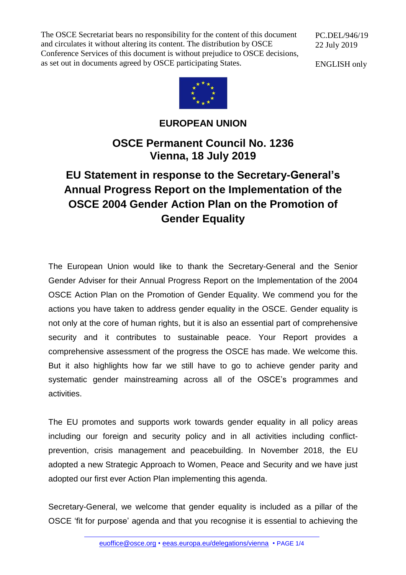The OSCE Secretariat bears no responsibility for the content of this document and circulates it without altering its content. The distribution by OSCE Conference Services of this document is without prejudice to OSCE decisions, as set out in documents agreed by OSCE participating States.

PC.DEL/946/19 22 July 2019

ENGLISH only



**EUROPEAN UNION**

## **OSCE Permanent Council No. 1236 Vienna, 18 July 2019**

## **EU Statement in response to the Secretary-General's Annual Progress Report on the Implementation of the OSCE 2004 Gender Action Plan on the Promotion of Gender Equality**

The European Union would like to thank the Secretary-General and the Senior Gender Adviser for their Annual Progress Report on the Implementation of the 2004 OSCE Action Plan on the Promotion of Gender Equality. We commend you for the actions you have taken to address gender equality in the OSCE. Gender equality is not only at the core of human rights, but it is also an essential part of comprehensive security and it contributes to sustainable peace. Your Report provides a comprehensive assessment of the progress the OSCE has made. We welcome this. But it also highlights how far we still have to go to achieve gender parity and systematic gender mainstreaming across all of the OSCE's programmes and activities.

The EU promotes and supports work towards gender equality in all policy areas including our foreign and security policy and in all activities including conflictprevention, crisis management and peacebuilding. In November 2018, the EU adopted a new Strategic Approach to Women, Peace and Security and we have just adopted our first ever Action Plan implementing this agenda.

Secretary-General, we welcome that gender equality is included as a pillar of the OSCE 'fit for purpose' agenda and that you recognise it is essential to achieving the

[euoffice@osce.org](mailto:euoffice@osce.org) • [eeas.europa.eu/delegations/vienna](http://eeas.europa.eu/delegations/vienna) • PAGE 1/4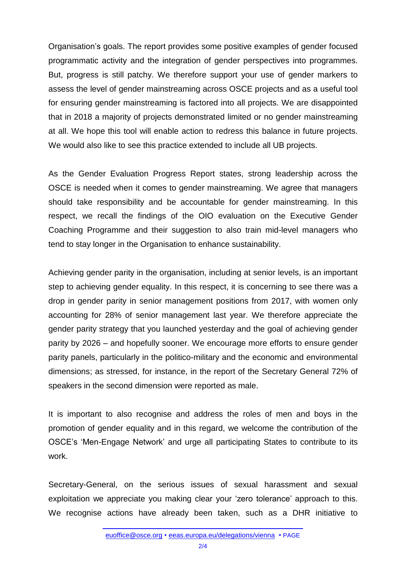Organisation's goals. The report provides some positive examples of gender focused programmatic activity and the integration of gender perspectives into programmes. But, progress is still patchy. We therefore support your use of gender markers to assess the level of gender mainstreaming across OSCE projects and as a useful tool for ensuring gender mainstreaming is factored into all projects. We are disappointed that in 2018 a majority of projects demonstrated limited or no gender mainstreaming at all. We hope this tool will enable action to redress this balance in future projects. We would also like to see this practice extended to include all UB projects.

As the Gender Evaluation Progress Report states, strong leadership across the OSCE is needed when it comes to gender mainstreaming. We agree that managers should take responsibility and be accountable for gender mainstreaming. In this respect, we recall the findings of the OIO evaluation on the Executive Gender Coaching Programme and their suggestion to also train mid-level managers who tend to stay longer in the Organisation to enhance sustainability.

Achieving gender parity in the organisation, including at senior levels, is an important step to achieving gender equality. In this respect, it is concerning to see there was a drop in gender parity in senior management positions from 2017, with women only accounting for 28% of senior management last year. We therefore appreciate the gender parity strategy that you launched yesterday and the goal of achieving gender parity by 2026 – and hopefully sooner. We encourage more efforts to ensure gender parity panels, particularly in the politico-military and the economic and environmental dimensions; as stressed, for instance, in the report of the Secretary General 72% of speakers in the second dimension were reported as male.

It is important to also recognise and address the roles of men and boys in the promotion of gender equality and in this regard, we welcome the contribution of the OSCE's 'Men-Engage Network' and urge all participating States to contribute to its work.

Secretary-General, on the serious issues of sexual harassment and sexual exploitation we appreciate you making clear your 'zero tolerance' approach to this. We recognise actions have already been taken, such as a DHR initiative to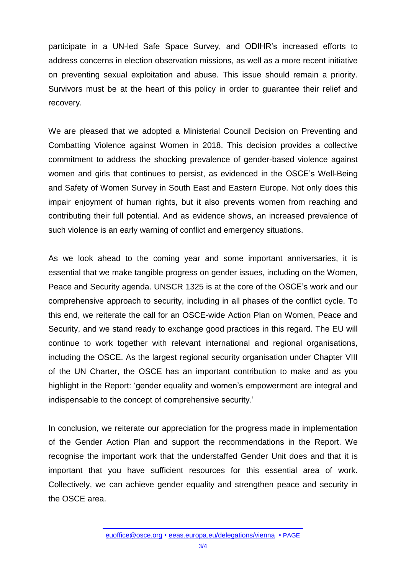participate in a UN-led Safe Space Survey, and ODIHR's increased efforts to address concerns in election observation missions, as well as a more recent initiative on preventing sexual exploitation and abuse. This issue should remain a priority. Survivors must be at the heart of this policy in order to guarantee their relief and recovery.

We are pleased that we adopted a Ministerial Council Decision on Preventing and Combatting Violence against Women in 2018. This decision provides a collective commitment to address the shocking prevalence of gender-based violence against women and girls that continues to persist, as evidenced in the OSCE's Well-Being and Safety of Women Survey in South East and Eastern Europe. Not only does this impair enjoyment of human rights, but it also prevents women from reaching and contributing their full potential. And as evidence shows, an increased prevalence of such violence is an early warning of conflict and emergency situations.

As we look ahead to the coming year and some important anniversaries, it is essential that we make tangible progress on gender issues, including on the Women, Peace and Security agenda. UNSCR 1325 is at the core of the OSCE's work and our comprehensive approach to security, including in all phases of the conflict cycle. To this end, we reiterate the call for an OSCE-wide Action Plan on Women, Peace and Security, and we stand ready to exchange good practices in this regard. The EU will continue to work together with relevant international and regional organisations, including the OSCE. As the largest regional security organisation under Chapter VIII of the UN Charter, the OSCE has an important contribution to make and as you highlight in the Report: 'gender equality and women's empowerment are integral and indispensable to the concept of comprehensive security.'

In conclusion, we reiterate our appreciation for the progress made in implementation of the Gender Action Plan and support the recommendations in the Report. We recognise the important work that the understaffed Gender Unit does and that it is important that you have sufficient resources for this essential area of work. Collectively, we can achieve gender equality and strengthen peace and security in the OSCE area.